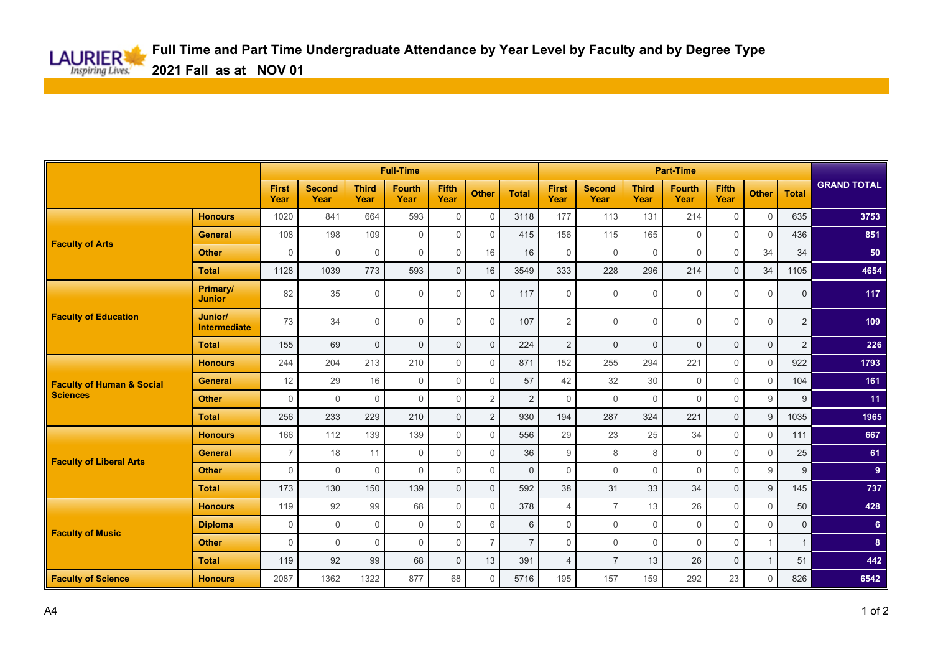|                                                         |                                |                      | <b>Full-Time</b>      |                      |                       |                |                |                |                      |                       | <b>Part-Time</b>     |                       |               |                |                |                    |  |
|---------------------------------------------------------|--------------------------------|----------------------|-----------------------|----------------------|-----------------------|----------------|----------------|----------------|----------------------|-----------------------|----------------------|-----------------------|---------------|----------------|----------------|--------------------|--|
|                                                         |                                | <b>First</b><br>Year | <b>Second</b><br>Year | <b>Third</b><br>Year | <b>Fourth</b><br>Year | Fifth<br>Year  | <b>Other</b>   | <b>Total</b>   | <b>First</b><br>Year | <b>Second</b><br>Year | <b>Third</b><br>Year | <b>Fourth</b><br>Year | Fifth<br>Year | <b>Other</b>   | <b>Total</b>   | <b>GRAND TOTAL</b> |  |
| <b>Faculty of Arts</b>                                  | <b>Honours</b>                 | 1020                 | 841                   | 664                  | 593                   | $\Omega$       | $\Omega$       | 3118           | 177                  | 113                   | 131                  | 214                   | $\mathbf 0$   | $\mathbf 0$    | 635            | 3753               |  |
|                                                         | <b>General</b>                 | 108                  | 198                   | 109                  | $\mathbf 0$           | $\Omega$       | $\Omega$       | 415            | 156                  | 115                   | 165                  | $\mathbf 0$           | $\Omega$      | $\Omega$       | 436            | 851                |  |
|                                                         | <b>Other</b>                   | $\Omega$             | $\Omega$              | $\Omega$             | $\Omega$              | $\Omega$       | 16             | 16             | $\mathbf 0$          | $\Omega$              | $\mathbf 0$          | $\Omega$              | $\Omega$      | 34             | 34             | 50                 |  |
|                                                         | <b>Total</b>                   | 1128                 | 1039                  | 773                  | 593                   | $\Omega$       | 16             | 3549           | 333                  | 228                   | 296                  | 214                   | $\Omega$      | 34             | 1105           | 4654               |  |
| <b>Faculty of Education</b>                             | Primary/<br><b>Junior</b>      | 82                   | 35                    | $\mathbf 0$          | $\mathbf 0$           | $\Omega$       | $\Omega$       | 117            | $\mathbf 0$          | $\Omega$              | $\mathbf 0$          | $\mathbf 0$           | $\mathbf 0$   | $\mathbf 0$    | $\mathbf 0$    | 117                |  |
|                                                         | Junior/<br><b>Intermediate</b> | 73                   | 34                    | $\Omega$             | $\mathbf 0$           | $\Omega$       | $\Omega$       | 107            | $\overline{2}$       | $\Omega$              | 0                    | $\mathbf 0$           | 0             | $\mathbf 0$    | $\overline{2}$ | 109                |  |
|                                                         | <b>Total</b>                   | 155                  | 69                    | $\Omega$             | $\mathbf{0}$          | $\Omega$       | $\Omega$       | 224            | $\overline{2}$       | $\Omega$              | $\mathbf 0$          | $\mathbf{0}$          | $\mathbf{0}$  | $\mathbf 0$    | $\overline{2}$ | 226                |  |
| <b>Faculty of Human &amp; Social</b><br><b>Sciences</b> | <b>Honours</b>                 | 244                  | 204                   | 213                  | 210                   | $\Omega$       | $\Omega$       | 871            | 152                  | 255                   | 294                  | 221                   | $\mathbf 0$   | $\mathbf 0$    | 922            | 1793               |  |
|                                                         | <b>General</b>                 | 12                   | 29                    | 16                   | $\mathbf 0$           | $\Omega$       | $\mathbf 0$    | 57             | 42                   | 32                    | 30                   | $\mathbf 0$           | $\mathbf 0$   | $\mathbf 0$    | 104            | 161                |  |
|                                                         | <b>Other</b>                   | $\mathbf 0$          | $\Omega$              | $\Omega$             | $\Omega$              | $\Omega$       | 2              | 2              | $\mathbf 0$          | $\Omega$              | $\Omega$             | $\Omega$              | $\mathbf 0$   | 9              | 9              | 11 <sub>1</sub>    |  |
|                                                         | <b>Total</b>                   | 256                  | 233                   | 229                  | 210                   | $\overline{0}$ | 2              | 930            | 194                  | 287                   | 324                  | 221                   | $\mathbf{0}$  | 9              | 1035           | 1965               |  |
| <b>Faculty of Liberal Arts</b>                          | <b>Honours</b>                 | 166                  | 112                   | 139                  | 139                   | $\Omega$       | $\Omega$       | 556            | 29                   | 23                    | 25                   | 34                    | $\Omega$      | $\Omega$       | 111            | 667                |  |
|                                                         | <b>General</b>                 | $\overline{7}$       | 18                    | 11                   | $\mathbf 0$           | $\Omega$       | $\Omega$       | 36             | 9                    | 8                     | 8                    | $\mathbf{0}$          | $\Omega$      | $\Omega$       | 25             | 61                 |  |
|                                                         | <b>Other</b>                   | $\Omega$             | $\Omega$              | $\Omega$             | $\Omega$              | $\Omega$       | $\Omega$       | $\mathbf{0}$   | $\Omega$             | $\Omega$              | $\mathbf 0$          | $\Omega$              | $\mathbf 0$   | 9              | 9              | 9 <sup>°</sup>     |  |
|                                                         | <b>Total</b>                   | 173                  | 130                   | 150                  | 139                   | $\mathbf 0$    | $\mathbf{0}$   | 592            | 38                   | 31                    | 33                   | 34                    | $\mathbf{0}$  | 9              | 145            | 737                |  |
| <b>Faculty of Music</b>                                 | <b>Honours</b>                 | 119                  | 92                    | 99                   | 68                    | $\Omega$       | $\Omega$       | 378            | $\overline{4}$       | $\overline{7}$        | 13                   | 26                    | $\mathbf 0$   | $\Omega$       | 50             | 428                |  |
|                                                         | <b>Diploma</b>                 | $\Omega$             | $\Omega$              | $\Omega$             | $\mathbf 0$           | $\Omega$       | 6              | 6              | $\mathbf 0$          | $\Omega$              | $\mathbf 0$          | $\mathbf 0$           | $\mathbf 0$   | $\mathbf 0$    | $\mathbf 0$    | 6 <sup>1</sup>     |  |
|                                                         | <b>Other</b>                   | $\Omega$             | 0                     | $\Omega$             | $\mathbf 0$           | $\mathbf 0$    | $\overline{7}$ | $\overline{7}$ | $\mathbf 0$          | $\mathbf 0$           | $\mathbf 0$          | $\mathbf 0$           | $\mathbf 0$   | $\overline{1}$ | $\mathbf{1}$   | 8                  |  |
|                                                         | <b>Total</b>                   | 119                  | 92                    | 99                   | 68                    | $\overline{0}$ | 13             | 391            | $\overline{4}$       | $\overline{7}$        | 13                   | 26                    | $\mathbf{0}$  | $\mathbf{1}$   | 51             | 442                |  |
| <b>Faculty of Science</b>                               | <b>Honours</b>                 | 2087                 | 1362                  | 1322                 | 877                   | 68             | $\Omega$       | 5716           | 195                  | 157                   | 159                  | 292                   | 23            | $\Omega$       | 826            | 6542               |  |